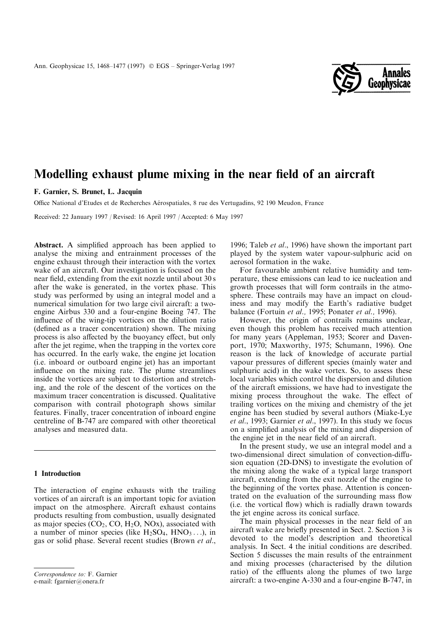

# Modelling exhaust plume mixing in the near field of an aircraft

F. Garnier, S. Brunet, L. Jacquin

Office National d'Etudes et de Recherches Aérospatiales, 8 rue des Vertugadins, 92 190 Meudon, France

Received: 22 January 1997 / Revised: 16 April 1997 / Accepted: 6 May 1997

Abstract. A simplified approach has been applied to analyse the mixing and entrainment processes of the engine exhaust through their interaction with the vortex wake of an aircraft. Our investigation is focused on the near field, extending from the exit nozzle until about 30 s after the wake is generated, in the vortex phase. This study was performed by using an integral model and a numerical simulation for two large civil aircraft: a twoengine Airbus 330 and a four-engine Boeing 747. The influence of the wing-tip vortices on the dilution ratio (defined as a tracer concentration) shown. The mixing process is also affected by the buoyancy effect, but only after the jet regime, when the trapping in the vortex core has occurred. In the early wake, the engine jet location (i.e. inboard or outboard engine jet) has an important influence on the mixing rate. The plume streamlines inside the vortices are subject to distortion and stretching, and the role of the descent of the vortices on the maximum tracer concentration is discussed. Qualitative comparison with contrail photograph shows similar features. Finally, tracer concentration of inboard engine centreline of B-747 are compared with other theoretical analyses and measured data.

## 1 Introduction

The interaction of engine exhausts with the trailing vortices of an aircraft is an important topic for aviation impact on the atmosphere. Aircraft exhaust contains products resulting from combustion, usually designated as major species  $(CO_2, CO, H_2O, NOx)$ , associated with a number of minor species (like  $H_2SO_4$ ,  $HNO_3 \dots$ ), in gas or solid phase. Several recent studies (Brown et al.,

1996; Taleb et al., 1996) have shown the important part played by the system water vapour-sulphuric acid on aerosol formation in the wake.

For favourable ambient relative humidity and temperature, these emissions can lead to ice nucleation and growth processes that will form contrails in the atmosphere. These contrails may have an impact on cloudiness and may modify the Earth's radiative budget balance (Fortuin et al., 1995; Ponater et al., 1996).

However, the origin of contrails remains unclear, even though this problem has received much attention for many years (Appleman, 1953; Scorer and Davenport, 1970; Maxworthy, 1975; Schumann, 1996). One reason is the lack of knowledge of accurate partial vapour pressures of different species (mainly water and sulphuric acid) in the wake vortex. So, to assess these local variables which control the dispersion and dilution of the aircraft emissions, we have had to investigate the mixing process throughout the wake. The effect of trailing vortices on the mixing and chemistry of the jet engine has been studied by several authors (Miake-Lye et al., 1993; Garnier et al., 1997). In this study we focus on a simplified analysis of the mixing and dispersion of the engine jet in the near field of an aircraft.

In the present study, we use an integral model and a two-dimensional direct simulation of convection-diffusion equation (2D-DNS) to investigate the evolution of the mixing along the wake of a typical large transport aircraft, extending from the exit nozzle of the engine to the beginning of the vortex phase. Attention is concentrated on the evaluation of the surrounding mass flow (i.e. the vortical flow) which is radially drawn towards the jet engine across its conical surface.

The main physical processes in the near field of an aircraft wake are briefly presented in Sect. 2. Section 3 is devoted to the model's description and theoretical analysis. In Sect. 4 the initial conditions are described. Section 5 discusses the main results of the entrainment and mixing processes (characterised by the dilution ratio) of the effluents along the plumes of two large Correspondence to: F. Garnier<br>
e-mail: fgarnier@onera.fr e-mail: fgarnier@onera.fr e-mail: fgarnier@onera.fr

e-mail: fgarnier@onera.fr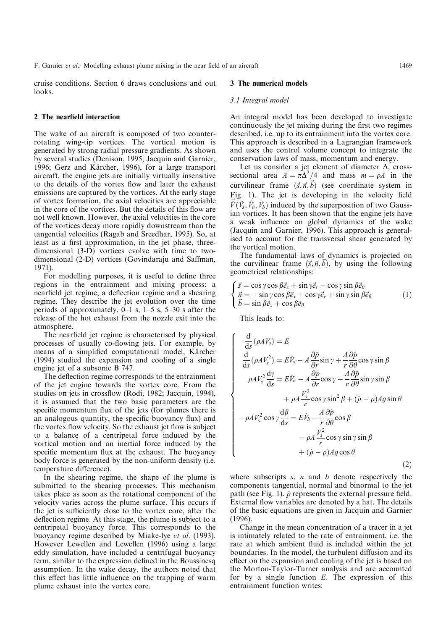cruise conditions. Section 6 draws conclusions and out looks.

### 2 The nearfield interaction

The wake of an aircraft is composed of two counterrotating wing-tip vortices. The vortical motion is generated by strong radial pressure gradients. As shown by several studies (Denison, 1995; Jacquin and Garnier, 1996; Gerz and Kärcher, 1996), for a large transport aircraft, the engine jets are initially virtually insensitive to the details of the vortex flow and later the exhaust emissions are captured by the vortices. At the early stage of vortex formation, the axial velocities are appreciable in the core of the vortices. But the details of this flow are not well known. However, the axial velocities in the core of the vortices decay more rapidly downstream than the tangential velocities (Ragab and Sreedhar, 1995). So, at least as a first approximation, in the jet phase, threedimensional (3-D) vortices evolve with time to twodimensional (2-D) vortices (Govindaraju and Saffman, 1971).

For modelling purposes, it is useful to define three regions in the entrainment and mixing process: a nearfield jet regime, a deflection regime and a shearing regime. They describe the jet evolution over the time periods of approximately,  $0-1$  s,  $1-5$  s,  $5-30$  s after the release of the hot exhaust from the nozzle exit into the atmosphere.

The nearfield jet regime is characterised by physical processes of usually co-flowing jets. For example, by means of a simplified computational model, Kärcher (1994) studied the expansion and cooling of a single engine jet of a subsonic B 747.

The deflection regime corresponds to the entrainment of the jet engine towards the vortex core. From the studies on jets in crossflow (Rodi, 1982; Jacquin, 1994), it is assumed that the two basic parameters are the specific momentum flux of the jets (for plumes there is an analogous quantity, the specific buoyancy flux) and the vortex flow velocity. So the exhaust jet flow is subject to a balance of a centripetal force induced by the vortical motion and an inertial force induced by the specific momentum flux at the exhaust. The buoyancy body force is generated by the non-uniform density (i.e. temperature difference).

In the shearing regime, the shape of the plume is submitted to the shearing processes. This mechanism takes place as soon as the rotational component of the velocity varies across the plume surface. This occurs if the jet is sufficiently close to the vortex core, after the deflection regime. At this stage, the plume is subject to a centripetal buoyancy force. This corresponds to the buoyancy regime described by Miake-lye et al. (1993). However Lewellen and Lewellen (1996) using a large eddy simulation, have included a centrifugal buoyancy term, similar to the expression defined in the Boussinesq assumption. In the wake decay, the authors noted that this effect has little influence on the trapping of warm plume exhaust into the vortex core.

### 3 The numerical models

#### 3.1 Integral model

An integral model has been developed to investigate continuously the jet mixing during the first two regimes described, i.e. up to its entrainment into the vortex core. This approach is described in a Lagrangian framework and uses the control volume concept to integrate the conservation laws of mass, momentum and energy.

Let us consider a jet element of diameter  $\Delta$ , crosssectional area  $A = \pi \Delta^2/4$  and mass  $m = \rho A$  in the curvilinear frame  $(\vec{s}, \vec{n}, \vec{b})$  (see coordinate system in Fig. 1). The jet is developing in the velocity field  $\vec{V}(\hat{V}_s, \hat{V}_n, \hat{V}_b)$  induced by the superposition of two Gaussian vortices. It has been shown that the engine jets have a weak influence on global dynamics of the wake (Jacquin and Garnier, 1996). This approach is generalised to account for the transversal shear generated by the vortical motion.

The fundamental laws of dynamics is projected on the curvilinear frame  $(\vec{s}, \vec{n}, b)$ , by using the following geometrical relationships:

$$
\begin{cases}\n\vec{s} = \cos \gamma \cos \beta \vec{e}_x + \sin \gamma \vec{e}_r - \cos \gamma \sin \beta \vec{e}_\theta \\
\vec{n} = -\sin \gamma \cos \beta \vec{e}_x + \cos \gamma \vec{e}_r + \sin \gamma \sin \beta \vec{e}_\theta \\
\vec{b} = \sin \beta \vec{e}_x + \cos \beta \vec{e}_\theta\n\end{cases}
$$
\n(1)

This leads to:

$$
\begin{cases}\n\frac{\mathrm{d}}{\mathrm{d}s}(\rho A V_s) = E \\
\frac{\mathrm{d}}{\mathrm{d}s}(\rho A V_s^2) = E \hat{V}_s - A \frac{\partial \hat{p}}{\partial r} \sin \gamma + \frac{A}{r} \frac{\partial \hat{p}}{\partial \theta} \cos \gamma \sin \beta \\
\rho A V_s^2 \frac{\mathrm{d}\gamma}{\mathrm{d}s} = E \hat{V}_n - A \frac{\partial \hat{p}}{\partial r} \cos \gamma - \frac{A}{r} \frac{\partial \hat{p}}{\partial \theta} \sin \gamma \sin \beta \\
+ \rho A \frac{V_s^2}{r} \cos \gamma \sin^2 \beta + (\hat{\rho} - \rho) A g \sin \theta \\
-\rho A V_s^2 \cos \gamma \frac{\mathrm{d}\beta}{\mathrm{d}s} = E \hat{V}_b - \frac{A}{r} \frac{\partial \hat{p}}{\partial \theta} \cos \beta \\
- \rho A \frac{V_s^2}{r} \cos \gamma \sin \gamma \sin \beta \\
+ (\hat{\rho} - \rho) A g \cos \theta\n\end{cases} (2)
$$

where subscripts  $s$ ,  $n$  and  $b$  denote respectively the components tangential, normal and binormal to the jet path (see Fig. 1).  $\hat{p}$  represents the external pressure field. External flow variables are denoted by a hat. The details of the basic equations are given in Jacquin and Garnier (1996).

Change in the mean concentration of a tracer in a jet is intimately related to the rate of entrainment, i.e. the rate at which ambient fluid is included within the jet boundaries. In the model, the turbulent diffusion and its effect on the expansion and cooling of the jet is based on the Morton-Taylor-Turner analysis and are accounted for by a single function  $E$ . The expression of this entrainment function writes: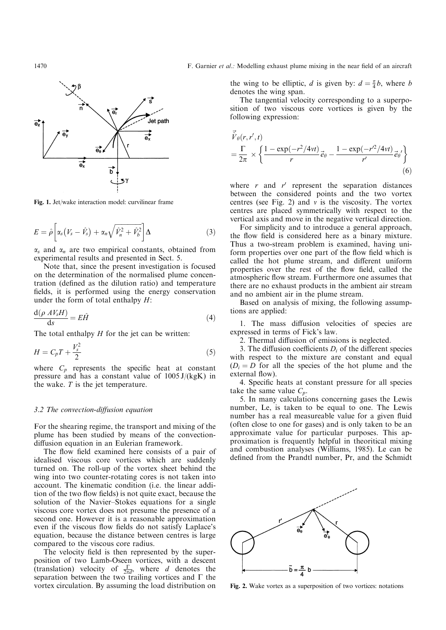

Fig. 1. Jet/wake interaction model: curvilinear frame

$$
E = \hat{\rho} \left[ \alpha_s \left( V_s - \hat{V}_s \right) + \alpha_n \sqrt{\hat{V}_n^2 + \hat{V}_b^2} \right] \Delta \tag{3}
$$

 $\alpha_s$  and  $\alpha_n$  are two empirical constants, obtained from experimental results and presented in Sect. 5.

Note that, since the present investigation is focused on the determination of the normalised plume concentration (defined as the dilution ratio) and temperature fields, it is performed using the energy conservation under the form of total enthalpy  $H$ :

$$
\frac{\mathrm{d}(\rho \ A V_s H)}{\mathrm{d}s} = E \hat{H} \tag{4}
$$

The total enthalpy  $H$  for the jet can be written:

$$
H = C_p T + \frac{V_s^2}{2} \tag{5}
$$

where  $C_p$  represents the specific heat at constant pressure and has a constant value of  $1005 \text{ J/(kgK)}$  in the wake.  $T$  is the jet temperature.

## $3.2$  The convection-diffusion equation

For the shearing regime, the transport and mixing of the plume has been studied by means of the convectiondiffusion equation in an Eulerian framework.

The flow field examined here consists of a pair of idealised viscous core vortices which are suddenly turned on. The roll-up of the vortex sheet behind the wing into two counter-rotating cores is not taken into account. The kinematic condition (i.e. the linear addition of the two flow fields) is not quite exact, because the solution of the Navier-Stokes equations for a single viscous core vortex does not presume the presence of a second one. However it is a reasonable approximation even if the viscous flow fields do not satisfy Laplace's equation, because the distance between centres is large compared to the viscous core radius.

The velocity field is then represented by the superposition of two Lamb-Oseen vortices, with a descent (translation) velocity of  $\frac{\Gamma}{2\pi d}$ , where d denotes the separation between the two trailing vortices and  $\Gamma$  the vortex circulation. By assuming the load distribution on

the wing to be elliptic, *d* is given by:  $d = \frac{\pi}{4}b$ , where *b* denotes the wing span.

The tangential velocity corresponding to a superposition of two viscous core vortices is given by the following expression:

$$
\vec{V}_{\theta}(r, r', t) = \frac{\Gamma}{2\pi} \times \left\{ \frac{1 - \exp(-r^2/4vt)}{r} \vec{e}_{\theta} - \frac{1 - \exp(-r^2/4vt)}{r'} \vec{e}_{\theta}' \right\}
$$
\n(6)

where  $r$  and  $r'$  represent the separation distances between the considered points and the two vortex centres (see Fig. 2) and  $v$  is the viscosity. The vortex centres are placed symmetrically with respect to the vertical axis and move in the negative vertical direction.

For simplicity and to introduce a general approach, the flow field is considered here as a binary mixture. Thus a two-stream problem is examined, having uniform properties over one part of the flow field which is called the hot plume stream, and different uniform properties over the rest of the flow field, called the atmospheric flow stream. Furthermore one assumes that there are no exhaust products in the ambient air stream and no ambient air in the plume stream.

Based on analysis of mixing, the following assumptions are applied:

1. The mass diffusion velocities of species are expressed in terms of Fick's law.

2. Thermal diffusion of emissions is neglected.

3. The diffusion coefficients  $D_i$  of the different species with respect to the mixture are constant and equal  $(D<sub>i</sub> = D$  for all the species of the hot plume and the external flow).

4. Specific heats at constant pressure for all species take the same value  $C_p$ .

5. In many calculations concerning gases the Lewis number, Le, is taken to be equal to one. The Lewis number has a real measureable value for a given fluid (often close to one for gases) and is only taken to be an approximate value for particular purposes. This approximation is frequently helpful in theoritical mixing and combustion analyses (Williams, 1985). Le can be defined from the Prandtl number, Pr, and the Schmidt



Fig. 2. Wake vortex as a superposition of two vortices: notations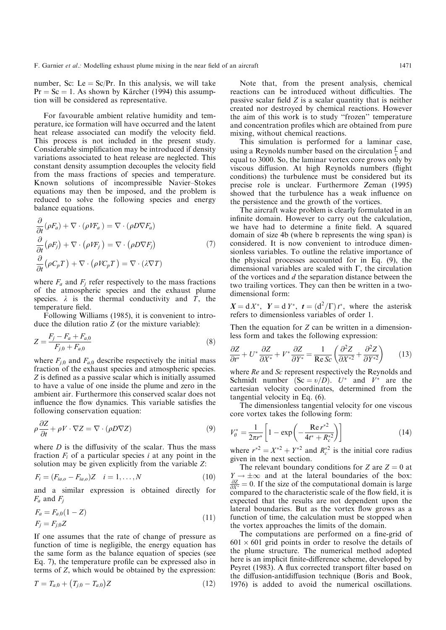number, Sc: Le  $=$  Sc/Pr. In this analysis, we will take  $Pr = Sc = 1$ . As shown by Kärcher (1994) this assumption will be considered as representative.

For favourable ambient relative humidity and temperature, ice formation will have occurred and the latent heat release associated can modify the velocity field. This process is not included in the present study. Considerable simplification may be introduced if density variations associated to heat release are neglected. This constant density assumption decouples the velocity field from the mass fractions of species and temperature. Known solutions of incompressible Navier-Stokes equations may then be imposed, and the problem is reduced to solve the following species and energy balance equations.

$$
\frac{\partial}{\partial t}(\rho F_a) + \nabla \cdot (\rho V F_a) = \nabla \cdot (\rho D \nabla F_a)
$$
\n
$$
\frac{\partial}{\partial t}(\rho F_j) + \nabla \cdot (\rho V F_j) = \nabla \cdot (\rho D \nabla F_j)
$$
\n
$$
\frac{\partial}{\partial t}(\rho C_p T) + \nabla \cdot (\rho V C_p T) = \nabla \cdot (\lambda \nabla T)
$$
\n(7)

where  $F_a$  and  $F_i$  refer respectively to the mass fractions of the atmospheric species and the exhaust plume species.  $\lambda$  is the thermal conductivity and  $\overline{T}$ , the temperature field.

Following Williams (1985), it is convenient to introduce the dilution ratio  $Z$  (or the mixture variable):

$$
Z = \frac{F_j - F_a + F_{a,0}}{F_{j,0} + F_{a,0}}\tag{8}
$$

where  $F_{j,0}$  and  $F_{a,0}$  describe respectively the initial mass fraction of the exhaust species and atmospheric species. Z is defined as a passive scalar which is initially assumed to have a value of one inside the plume and zero in the ambient air. Furthermore this conserved scalar does not influence the flow dynamics. This variable satisfies the following conservation equation:

$$
\rho \frac{\partial Z}{\partial t} + \rho V \cdot \nabla Z = \nabla \cdot (\rho D \nabla Z) \tag{9}
$$

where  $D$  is the diffusivity of the scalar. Thus the mass fraction  $F_i$  of a particular species i at any point in the solution may be given explicitly from the variable Z:

$$
F_i = (F_{ia,o} - F_{ia,o})Z \quad i = 1, ..., N
$$
 (10)

and a similar expression is obtained directly for  $F_a$  and  $F_i$ 

$$
F_a = F_{a,0}(1 - Z)
$$
  
\n
$$
F_j = F_{j,0}Z
$$
\n(11)

If one assumes that the rate of change of pressure as function of time is negligible, the energy equation has the same form as the balance equation of species (see Eq. 7), the temperature profile can be expressed also in terms of Z, which would be obtained by the expression:

$$
T = T_{a,0} + (T_{j,0} - T_{a,0})Z \tag{12}
$$

Note that, from the present analysis, chemical reactions can be introduced without difficulties. The passive scalar field  $Z$  is a scalar quantity that is neither created nor destroyed by chemical reactions. However the aim of this work is to study "frozen" temperature and concentration profiles which are obtained from pure mixing, without chemical reactions.

This simulation is performed for a laminar case, using a Reynolds number based on the circulation  $\frac{\Gamma}{v}$  and equal to 3000. So, the laminar vortex core grows only by viscous diffusion. At high Reynolds numbers (flight conditions) the turbulence must be considered but its precise role is unclear. Furthermore Zeman (1995) showed that the turbulence has a weak influence on the persistence and the growth of the vortices.

The aircraft wake problem is clearly formulated in an infinite domain. However to carry out the calculation, we have had to determine a finite field. A squared domain of size 4b (where b represents the wing span) is considered. It is now convenient to introduce dimensionless variables. To outline the relative importance of the physical processes accounted for in Eq. (9), the dimensional variables are scaled with  $\Gamma$ , the circulation of the vortices and d the separation distance between the two trailing vortices. They can then be written in a twodimensional form:

 $X = dX^*$ ,  $Y = dY^*$ ,  $t = (d^2/\Gamma)t^*$ , where the asterisk refers to dimensionless variables of order 1.

Then the equation for Z can be written in a dimensionless form and takes the following expression:

$$
\frac{\partial Z}{\partial t^*} + U^* \frac{\partial Z}{\partial X^*} + V^* \frac{\partial Z}{\partial Y^*} = \frac{1}{\text{Re } Sc} \left( \frac{\partial^2 Z}{\partial X^{*2}} + \frac{\partial^2 Z}{\partial Y^{*2}} \right) \tag{13}
$$

where Re and Sc represent respectively the Reynolds and Schmidt number  $(Sc = v/D)$ .  $U^*$  and  $V^*$  are the cartesian velocity coordinates, determined from the tangential velocity in Eq. (6).

The dimensionless tangential velocity for one viscous core vortex takes the following form:

$$
V_{\theta}^* = \frac{1}{2\pi r^*} \left[ 1 - \exp\left( -\frac{\text{Re } r^{*2}}{4t^* + R_c^{*2}} \right) \right]
$$
 (14)

where  $r^{*2} = X^{*2} + Y^{*2}$  and  $R_c^{*2}$  is the initial core radius given in the next section.

The relevant boundary conditions for Z are  $Z = 0$  at  $Y \rightarrow \pm \infty$  and at the lateral boundaries of the box:  $\frac{\partial Z}{\partial X^*} = 0$ . If the size of the computational domain is large compared to the characteristic scale of the flow field, it is expected that the results are not dependent upon the lateral boundaries. But as the vortex flow grows as a function of time, the calculation must be stopped when the vortex approaches the limits of the domain.

The computations are performed on a fine-grid of  $601 \times 601$  grid points in order to resolve the details of the plume structure. The numerical method adopted here is an implicit finite-difference scheme, developed by Peyret (1983). A flux corrected transport filter based on the diffusion-antidiffusion technique (Boris and Book, 1976) is added to avoid the numerical oscillations.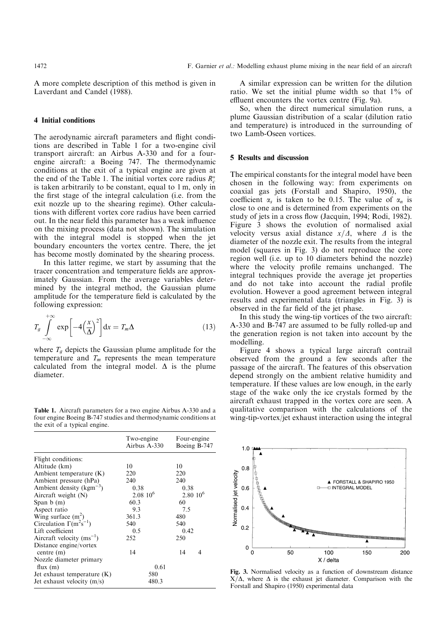A more complete description of this method is given in Laverdant and Candel (1988).

# 4 Initial conditions

The aerodynamic aircraft parameters and flight conditions are described in Table 1 for a two-engine civil transport aircraft: an Airbus A-330 and for a fourengine aircraft: a Boeing 747. The thermodynamic conditions at the exit of a typical engine are given at the end of the Table 1. The initial vortex core radius  $R_c^*$ is taken arbitrarily to be constant, equal to 1 m, only in the first stage of the integral calculation (i.e. from the exit nozzle up to the shearing regime). Other calculations with different vortex core radius have been carried out. In the near field this parameter has a weak influence on the mixing process (data not shown). The simulation with the integral model is stopped when the jet boundary encounters the vortex centre. There, the jet has become mostly dominated by the shearing process.

In this latter regime, we start by assuming that the tracer concentration and temperature fields are approximately Gaussian. From the average variables determined by the integral method, the Gaussian plume amplitude for the temperature field is calculated by the following expression:

$$
T_g \int_{-\infty}^{+\infty} \exp\left[-4\left(\frac{x}{\Delta}\right)^2\right] dx = T_m \Delta \tag{13}
$$

where  $T_a$  depicts the Gaussian plume amplitude for the temperature and  $T_m$  represents the mean temperature calculated from the integral model.  $\Delta$  is the plume diameter.

Table 1. Aircraft parameters for a two engine Airbus A-330 and a four engine Boeing B-747 studies and thermodynamic conditions at the exit of a typical engine.

|                                       | Two-engine<br>Airbus A-330 | Four-engine<br>Boeing B-747 |
|---------------------------------------|----------------------------|-----------------------------|
| Flight conditions:                    |                            |                             |
| Altitude (km)                         | 10                         | 10                          |
| Ambient temperature $(K)$             | 220                        | 220                         |
| Ambient pressure (hPa)                | 240                        | 240                         |
| Ambient density ( $\text{kgm}^{-3}$ ) | 0.38                       | 0.38                        |
| Aircraft weight $(N)$                 | $2.0810^{6}$               | $2.80~10^{6}$               |
| Span $b(m)$                           | 60.3                       | 60                          |
| Aspect ratio                          | 9.3                        | 7.5                         |
| Wing surface $(m^2)$                  | 361.3                      | 480                         |
| Circulation $\Gamma(m^2s^{-1})$       | 540                        | 540                         |
| Lift coefficient                      | 0.5                        | 0.42                        |
| Aircraft velocity $(ms^{-1})$         | 252                        | 250                         |
| Distance engine/vortex                |                            |                             |
| centre $(m)$                          | 14                         | 14<br>4                     |
| Nozzle diameter primary               |                            |                             |
| flux $(m)$                            | 0.61                       |                             |
| Jet exhaust temperature $(K)$         | 580                        |                             |
| Jet exhaust velocity $(m/s)$          | 480.3                      |                             |

A similar expression can be written for the dilution ratio. We set the initial plume width so that 1% of effluent encounters the vortex centre (Fig. 9a).

So, when the direct numerical simulation runs, a plume Gaussian distribution of a scalar (dilution ratio and temperature) is introduced in the surrounding of two Lamb-Oseen vortices.

## 5 Results and discussion

The empirical constants for the integral model have been chosen in the following way: from experiments on coaxial gas jets (Forstall and Shapiro, 1950), the coefficient  $\alpha_s$  is taken to be 0.15. The value of  $\alpha_n$  is close to one and is determined from experiments on the study of jets in a cross flow (Jacquin, 1994; Rodi, 1982). Figure 3 shows the evolution of normalised axial velocity versus axial distance  $x/\Delta$ , where  $\Delta$  is the diameter of the nozzle exit. The results from the integral model (squares in Fig. 3) do not reproduce the core region well (i.e. up to 10 diameters behind the nozzle) where the velocity profile remains unchanged. The integral techniques provide the average jet properties and do not take into account the radial profile evolution. However a good agreement between integral results and experimental data (triangles in Fig. 3) is observed in the far field of the jet phase.

In this study the wing-tip vortices of the two aircraft: A-330 and B-747 are assumed to be fully rolled-up and the generation region is not taken into account by the modelling.

Figure 4 shows a typical large aircraft contrail observed from the ground a few seconds after the passage of the aircraft. The features of this observation depend strongly on the ambient relative humidity and temperature. If these values are low enough, in the early stage of the wake only the ice crystals formed by the aircraft exhaust trapped in the vortex core are seen. A qualitative comparison with the calculations of the wing-tip-vortex/jet exhaust interaction using the integral



Fig. 3. Normalised velocity as a function of downstream distance  $X/\Delta$ , where  $\Delta$  is the exhaust jet diameter. Comparison with the Forstall and Shapiro (1950) experimental data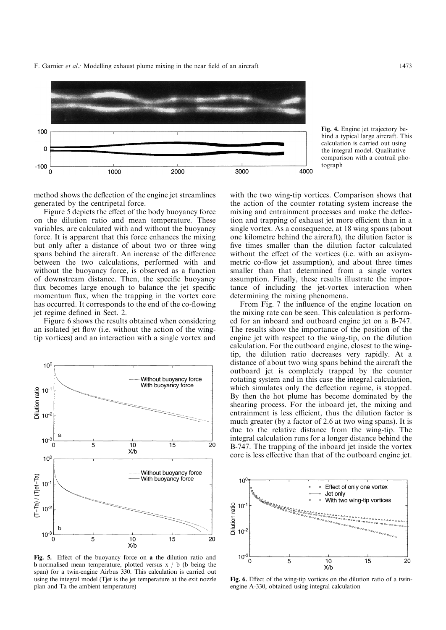F. Garnier *et al.*: Modelling exhaust plume mixing in the near field of an aircraft 1473



Fig. 4. Engine jet trajectory behind a typical large aircraft. This calculation is carried out using the integral model. Qualitative comparison with a contrail photograph

method shows the deflection of the engine jet streamlines generated by the centripetal force.

Figure 5 depicts the effect of the body buoyancy force on the dilution ratio and mean temperature. These variables, are calculated with and without the buoyancy force. It is apparent that this force enhances the mixing but only after a distance of about two or three wing spans behind the aircraft. An increase of the difference between the two calculations, performed with and without the buoyancy force, is observed as a function of downstream distance. Then, the specific buoyancy flux becomes large enough to balance the jet specific momentum flux, when the trapping in the vortex core has occurred. It corresponds to the end of the co-flowing jet regime defined in Sect. 2.

Figure 6 shows the results obtained when considering an isolated jet flow (i.e. without the action of the wingtip vortices) and an interaction with a single vortex and



Fig. 5. Effect of the buoyancy force on a the dilution ratio and **b** normalised mean temperature, plotted versus  $x / b$  (b being the span) for a twin-engine Airbus 330. This calculation is carried out using the integral model (Tjet is the jet temperature at the exit nozzle plan and Ta the ambient temperature)

with the two wing-tip vortices. Comparison shows that the action of the counter rotating system increase the mixing and entrainment processes and make the deflection and trapping of exhaust jet more efficient than in a single vortex. As a consequence, at 18 wing spans (about one kilometre behind the aircraft), the dilution factor is five times smaller than the dilution factor calculated without the effect of the vortices (i.e. with an axisymmetric co-flow jet assumption), and about three times smaller than that determined from a single vortex assumption. Finally, these results illustrate the importance of including the jet-vortex interaction when determining the mixing phenomena.

From Fig. 7 the influence of the engine location on the mixing rate can be seen. This calculation is performed for an inboard and outboard engine jet on a B-747. The results show the importance of the position of the engine jet with respect to the wing-tip, on the dilution calculation. For the outboard engine, closest to the wingtip, the dilution ratio decreases very rapidly. At a distance of about two wing spans behind the aircraft the outboard jet is completely trapped by the counter rotating system and in this case the integral calculation, which simulates only the deflection regime, is stopped. By then the hot plume has become dominated by the shearing process. For the inboard jet, the mixing and entrainment is less efficient, thus the dilution factor is much greater (by a factor of 2.6 at two wing spans). It is due to the relative distance from the wing-tip. The integral calculation runs for a longer distance behind the B-747. The trapping of the inboard jet inside the vortex core is less effective than that of the outboard engine jet.



Fig. 6. Effect of the wing-tip vortices on the dilution ratio of a twinengine A-330, obtained using integral calculation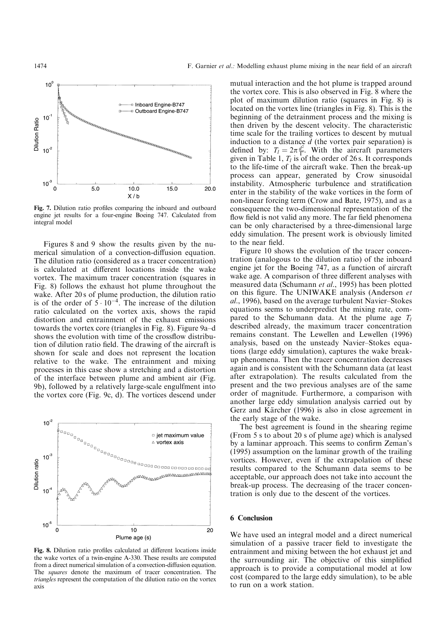

Fig. 7. Dilution ratio profiles comparing the inboard and outboard engine jet results for a four-engine Boeing 747. Calculated from integral model

Figures 8 and 9 show the results given by the numerical simulation of a convection-diffusion equation. The dilution ratio (considered as a tracer concentration) is calculated at different locations inside the wake vortex. The maximum tracer concentration (squares in Fig. 8) follows the exhaust hot plume throughout the wake. After 20 s of plume production, the dilution ratio is of the order of  $5 \cdot 10^{-4}$ . The increase of the dilution ratio calculated on the vortex axis, shows the rapid distortion and entrainment of the exhaust emissions towards the vortex core (triangles in Fig. 8). Figure 9a-d shows the evolution with time of the crossflow distribution of dilution ratio field. The drawing of the aircraft is shown for scale and does not represent the location relative to the wake. The entrainment and mixing processes in this case show a stretching and a distortion of the interface between plume and ambient air (Fig. 9b), followed by a relatively large-scale engulfment into the vortex core (Fig. 9c, d). The vortices descend under



Fig. 8. Dilution ratio profiles calculated at different locations inside the wake vortex of a twin-engine A-330. These results are computed from a direct numerical simulation of a convection-diffusion equation. The squares denote the maximum of tracer concentration. The triangles represent the computation of the dilution ratio on the vortex axis

mutual interaction and the hot plume is trapped around the vortex core. This is also observed in Fig. 8 where the plot of maximum dilution ratio (squares in Fig. 8) is located on the vortex line (triangles in Fig. 8). This is the beginning of the detrainment process and the mixing is then driven by the descent velocity. The characteristic time scale for the trailing vortices to descent by mutual induction to a distance  $d$  (the vortex pair separation) is defined by:  $T_l = 2\pi \frac{d^2}{\Gamma}$ . With the aircraft parameters given in Table 1,  $T_l$  is of the order of 26 s. It corresponds to the life-time of the aircraft wake. Then the break-up process can appear, generated by Crow sinusoidal instability. Atmospheric turbulence and stratification enter in the stability of the wake vortices in the form of non-linear forcing term (Crow and Bate, 1975), and as a consequence the two-dimensional representation of the flow field is not valid any more. The far field phenomena can be only characterised by a three-dimensional large eddy simulation. The present work is obviously limited to the near field.

Figure 10 shows the evolution of the tracer concentration (analogous to the dilution ratio) of the inboard engine jet for the Boeing 747, as a function of aircraft wake age. A comparison of three different analyses with measured data (Schumann et al., 1995) has been plotted on this figure. The UNIWAKE analysis (Anderson et al., 1996), based on the average turbulent Navier-Stokes equations seems to underpredict the mixing rate, compared to the Schumann data. At the plume age  $T_l$ described already, the maximum tracer concentration remains constant. The Lewellen and Lewellen (1996) analysis, based on the unsteady Navier-Stokes equations (large eddy simulation), captures the wake breakup phenomena. Then the tracer concentration decreases again and is consistent with the Schumann data (at least after extrapolation). The results calculated from the present and the two previous analyses are of the same order of magnitude. Furthermore, a comparison with another large eddy simulation analysis carried out by Gerz and Kärcher (1996) is also in close agreement in the early stage of the wake.

The best agreement is found in the shearing regime (From 5 s to about 20 s of plume age) which is analysed by a laminar approach. This seems to confirm Zeman's (1995) assumption on the laminar growth of the trailing vortices. However, even if the extrapolation of these results compared to the Schumann data seems to be acceptable, our approach does not take into account the break-up process. The decreasing of the tracer concentration is only due to the descent of the vortices.

## 6 Conclusion

We have used an integral model and a direct numerical simulation of a passive tracer field to investigate the entrainment and mixing between the hot exhaust jet and the surrounding air. The objective of this simplified approach is to provide a computational model at low cost (compared to the large eddy simulation), to be able to run on a work station.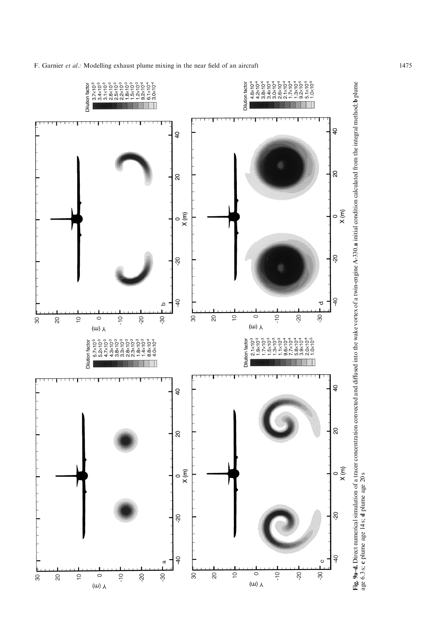F. Garnier et al.: Modelling exhaust plume mixing in the near field of an aircraft 1475



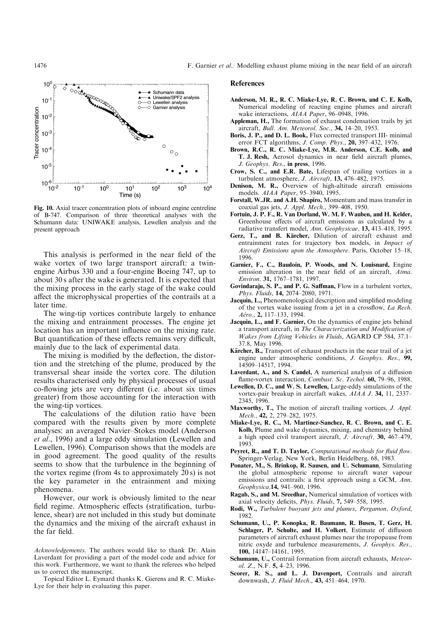

Fig. 10. Axial tracer concentration plots of inboard engine centreline of B-747. Comparison of three theoretical analyses with the Schumann data: UNIWAKE analysis, Lewellen analysis and the present approach

This analysis is performed in the near field of the wake vortex of two large transport aircraft: a twinengine Airbus 330 and a four-engine Boeing 747, up to about 30 s after the wake is generated. It is expected that the mixing process in the early stage of the wake could affect the microphysical properties of the contrails at a later time.

The wing-tip vortices contribute largely to enhance the mixing and entrainment processes. The engine jet location has an important influence on the mixing rate. But quantification of these effects remains very difficult, mainly due to the lack of experimental data.

The mixing is modified by the deflection, the distortion and the stretching of the plume, produced by the transversal shear inside the vortex core. The dilution results characterised only by physical processes of usual co-flowing jets are very different (i.e. about six times greater) from those accounting for the interaction with the wing-tip vortices.

The calculations of the dilution ratio have been compared with the results given by more complete analyses: an averaged Navier-Stokes model (Anderson et al., 1996) and a large eddy simulation (Lewellen and Lewellen, 1996). Comparison shows that the models are in good agreement. The good quality of the results seems to show that the turbulence in the beginning of the vortex regime (from 4s to approximately 20 s) is not the key parameter in the entrainment and mixing phenomena.

However, our work is obviously limited to the near field regime. Atmospheric effects (stratification, turbulence, shear) are not included in this study but dominate the dynamics and the mixing of the aircraft exhaust in the far field.

Topical Editor L. Eymard thanks K. Gierens and R. C. Miake-Lye for their help in evaluating this paper.

#### References

- Anderson, M. R., R. C. Miake-Lye, R. C. Brown, and C. E. Kolb, Numerical modeling of reacting engine plumes and aircraft wake interactions, AIAA Paper, 96-0948, 1996.
- Appleman, H., The formation of exhaust condensation trails by jet aircraft, *Bull. Am. Meteorol. Soc.*, 34, 14-20, 1953.
- Boris, J. P., and D. L. Book, Flux corrected transport III- minimal error FCT algorithms, J. Comp. Phys., 20, 397-432, 1976.
- Brown, R.C., R. C. Miake-Lye, M.R. Anderson, C.E. Kolb, and T. J. Resh, Aerosol dynamics in near field aircraft plumes, J. Geophys. Res., in press, 1996.
- Crow, S. C., and E.R. Bate, Lifespan of trailing vortices in a turbulent atmosphere, *J. Aircraft*, **13**,  $476-482$ , 1975.
- Denison, M. R., Overview of high-altitude aircraft emissions models. AIAA Paper, 95-3940, 1995.
- Forstall, W.JR. and  $\overrightarrow{A}$ .H. Shapiro, Momentum and mass transfer in coaxial gas jets, J. Appl. Mech., 399-408, 1950.
- Fortuin, J. P. F., R. Van Dorland, W. M. F. Wauben, and H. Kelder, Greenhouse effects of aircraft emissions as calculated by a radiative transfert model, Ann. Geophysicae, 13, 413-418, 1995.
- Gerz, T., and B. Kärcher, Dilution of aircraft exhaust and entrainment rates for trajectory box models, in Impact of Aircraft Emissions upon the Atmosphere. Paris, October 15-18, 1996.
- Garnier, F., C., Baudoin, P. Woods, and N. Louisnard, Engine emission alteration in the near field of an aircraft, Atma. Environ. 31, 1767-1781, 1997.
- Govindaraju, S. P., and P. G. Saffman, Flow in a turbulent vortex, Phys. Fluids, 14, 2074-2080, 1971.
- **Jacquin, L., Phenomenological description and simplified modeling** of the vortex wake issuing from a jet in a crossflow, La Rech. Aéro., 2, 117-133, 1994.
- Jacquin, L., and F. Garnier, On the dynamics of engine jets behind a transport aircraft, in The Characterization and Modification of Wakes from Lifting Vehicles in Fluids, AGARD CP 584, 37.1-37.8, May 1996.
- **Kärcher, B.,** Transport of exhaust products in the near trail of a jet engine under atmospheric conditions, J. Geophys. Res., 99, 14509±14517, 1994.
- Laverdant, A., and S. Candel, A numerical analysis of a diffusion flame-vortex interaction, Combust. Sc. Techol. 60, 79-96, 1988.
- Lewellen, D. C., and W. S. Lewellen, Large-eddy simulations of the vortex-pair breakup in aircrfaft wakes, AIAA J. 34, 11, 2337– 2345, 1996.
- Maxworthy, T., The motion of aircraft trailing vortices, J. Appl. Mech., 42, 2, 279-282, 1975.
- Miake-Lye, R. C., M. Martinez-Sanchez, R. C. Brown, and C. E. Kolb, Plume and wake dynamics, mixing, and chemistry behind a high speed civil transport aircraft, J. Aircraft, 30, 467-479, 1993.
- Peyret, R., and T. D. Taylor, Computational methods for fluid flow. Springer-Verlag, New York, Berlin Heidelberg, 68, 1983.
- Ponater, M., S. Brinkop, R. Sausen, and U. Schumann, Simulating the global atmospheric reponse to aircraft water vapour emissions and contrails: a first approach using a GCM, Ann. Geophysica, 14, 941-960, 1996.
- Ragab, S., and M. Sreedhar, Numerical simulation of vortices with axial velocity deficits, Phys. Fluids, 7, 549-558, 1995.
- Rodi, W., Turbulent buoyant jets and plumes, Pergamon, Oxford, 1982.
- Schumann, U., P. Konopka, R. Baumann, R. Busen, T. Gerz, H. Schlager, P. Schulte, and H. Volkert, Estimate of diffusion parameters of aircraft exhaust plumes near the tropopause from nitric oxyde and turbulence measurements, J. Geophys. Res., 100, 14147-14161, 1995.
- Schumann, U., Contrail formation from aircraft exhausts, Meteorol. Z., N.F.  $5, 4-23, 1996$ .
- Scorer, R. S., and L. J. Davenport, Contrails and aircraft downwash, *J. Fluid Mech.*, 43, 451-464, 1970.

Acknowledgements. The authors would like to thank Dr. Alain Laverdant for providing a part of the model code and advice for this work. Furthermore, we want to thank the referees who helped us to correct the manuscript.